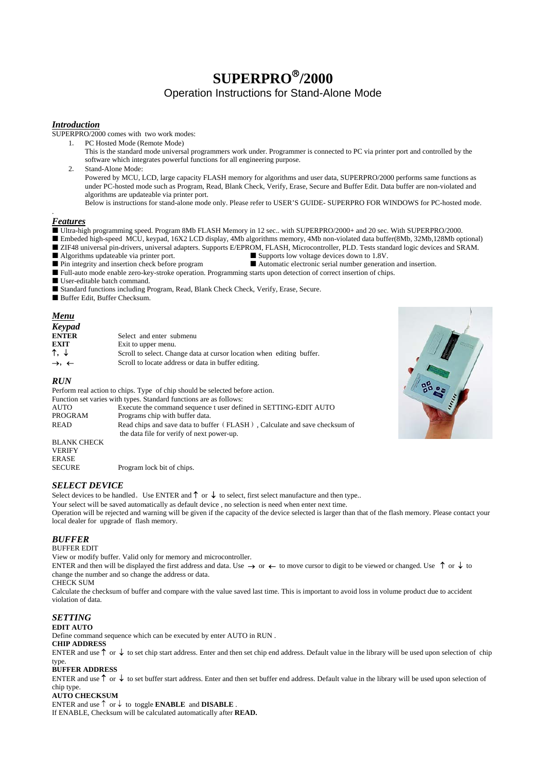# **SUPERPRO**®**/2000**  Operation Instructions for Stand-Alone Mode

## *Introduction*

SUPERPRO/2000 comes with two work modes:

1. PC Hosted Mode (Remote Mode)

This is the standard mode universal programmers work under. Programmer is connected to PC via printer port and controlled by the software which integrates powerful functions for all engineering purpose.

2. Stand-Alone Mode:

Powered by MCU, LCD, large capacity FLASH memory for algorithms and user data, SUPERPRO/2000 performs same functions as under PC-hosted mode such as Program, Read, Blank Check, Verify, Erase, Secure and Buffer Edit. Data buffer are non-violated and algorithms are updateable via printer port.

Below is instructions for stand-alone mode only. Please refer to USER'S GUIDE- SUPERPRO FOR WINDOWS for PC-hosted mode.

# *Features*

.

Ultra-high programming speed. Program 8Mb FLASH Memory in 12 sec.. with SUPERPRO/2000+ and 20 sec. With SUPERPRO/2000.

■ Embeded high-speed MCU, keypad, 16X2 LCD display, 4Mb algorithms memory, 4Mb non-violated data buffer(8Mb, 32Mb,128Mb optional) ■ ZIF48 universal pin-drivers, universal adapters. Supports E/EPROM, FLASH, Microcontroller, PLD. Tests standard logic devices and SRAM.<br>■ Supports low voltage devices down to 1.8V.

- 
- Algorithms updateable via printer port.<br>
Pin integrity and insertion check before program<br>
B Automatic electronic serial number generatic
- **P** Automatic electronic serial number generation and insertion.
- Full-auto mode enable zero-key-stroke operation. Programming starts upon detection of correct insertion of chips.
- User-editable batch command.
- Standard functions including Program, Read, Blank Check Check, Verify, Erase, Secure.

Buffer Edit, Buffer Checksum.

## *Menu*

| <b>Keypad</b>                |                                                                       |
|------------------------------|-----------------------------------------------------------------------|
| <b>ENTER</b>                 | Select and enter submenu                                              |
| <b>EXIT</b>                  | Exit to upper menu.                                                   |
| ↑. ↓                         | Scroll to select. Change data at cursor location when editing buffer. |
| $\rightarrow$ , $\leftarrow$ | Scroll to locate address or data in buffer editing.                   |

# *RUN*

Perform real action to chips. Type of chip should be selected before action.

|                    | Function set varies with types. Standard functions are as follows:         |
|--------------------|----------------------------------------------------------------------------|
| AUTO               | Execute the command sequence t user defined in SETTING-EDIT AUTO           |
| PROGRAM            | Programs chip with buffer data.                                            |
| READ               | Read chips and save data to buffer (FLASH), Calculate and save checksum of |
|                    | the data file for verify of next power-up.                                 |
| <b>BLANK CHECK</b> |                                                                            |
| <b>VERIFY</b>      |                                                                            |
| ERASE              |                                                                            |

Program lock bit of chips.

## *SELECT DEVICE*

Select devices to be handled。Use ENTER and ↑or↓to select, first select manufacture and then type..

Your select will be saved automatically as default device , no selection is need when enter next time. Operation will be rejected and warning will be given if the capacity of the device selected is larger than that of the flash memory. Please contact your local dealer for upgrade of flash memory.

## *BUFFER*

SECURE

#### BUFFER EDIT

View or modify buffer. Valid only for memory and microcontroller.

ENTER and then will be displayed the first address and data. Use →or ←to move cursor to digit to be viewed or changed. Use ↑or↓to change the number and so change the address or data.

#### CHECK SUM

Calculate the checksum of buffer and compare with the value saved last time. This is important to avoid loss in volume product due to accident violation of data.

## *SETTING*

## **EDIT AUTO**

Define command sequence which can be executed by enter AUTO in RUN .

#### **CHIP ADDRESS**

ENTER and use ↑or↓to set chip start address. Enter and then set chip end address. Default value in the library will be used upon selection of chip type.

# **BUFFER ADDRESS**

ENTER and use ↑or↓to set buffer start address. Enter and then set buffer end address. Default value in the library will be used upon selection of chip type.

#### **AUTO CHECKSUM**

ENTER and use ↑ or ↓ to toggle **ENABLE** and **DISABLE** . If ENABLE, Checksum will be calculated automatically after **READ.**